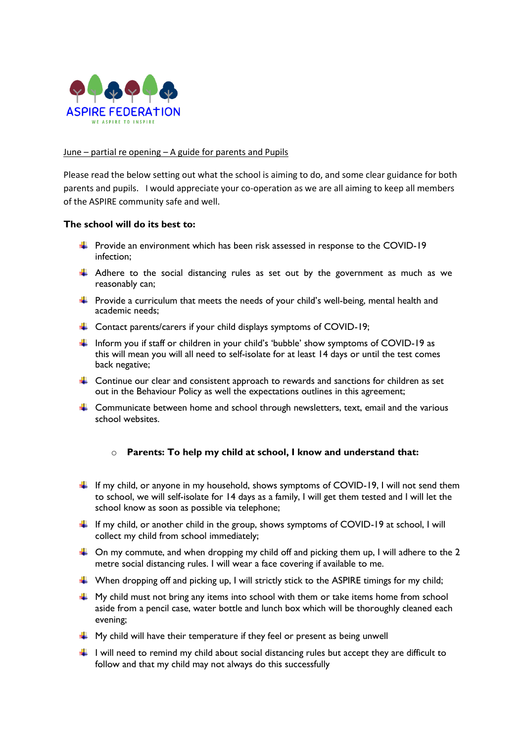

## June – partial re opening – A guide for parents and Pupils

Please read the below setting out what the school is aiming to do, and some clear guidance for both parents and pupils. I would appreciate your co-operation as we are all aiming to keep all members of the ASPIRE community safe and well.

## **The school will do its best to:**

- $\ddot{\text{+}}$  Provide an environment which has been risk assessed in response to the COVID-19 infection;
- $\downarrow$  Adhere to the social distancing rules as set out by the government as much as we reasonably can;
- $\ddot{+}$  Provide a curriculum that meets the needs of your child's well-being, mental health and academic needs;
- $\downarrow$  Contact parents/carers if your child displays symptoms of COVID-19;
- Inform you if staff or children in your child's 'bubble' show symptoms of COVID-19 as this will mean you will all need to self-isolate for at least 14 days or until the test comes back negative;
- $\downarrow$  Continue our clear and consistent approach to rewards and sanctions for children as set out in the Behaviour Policy as well the expectations outlines in this agreement;
- $\ddot{\phantom{1}}$  Communicate between home and school through newsletters, text, email and the various school websites.

## o **Parents: To help my child at school, I know and understand that:**

- If my child, or anyone in my household, shows symptoms of COVID-19, I will not send them to school, we will self-isolate for 14 days as a family, I will get them tested and I will let the school know as soon as possible via telephone;
- If my child, or another child in the group, shows symptoms of COVID-19 at school, I will collect my child from school immediately;
- $\downarrow$  On my commute, and when dropping my child off and picking them up, I will adhere to the 2 metre social distancing rules. I will wear a face covering if available to me.
- $\downarrow$  When dropping off and picking up, I will strictly stick to the ASPIRE timings for my child;
- $\ddot{\bullet}$  My child must not bring any items into school with them or take items home from school aside from a pencil case, water bottle and lunch box which will be thoroughly cleaned each evening;
- $\downarrow$  My child will have their temperature if they feel or present as being unwell
- $\downarrow$  I will need to remind my child about social distancing rules but accept they are difficult to follow and that my child may not always do this successfully